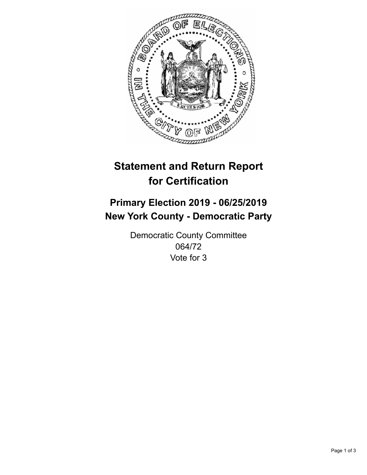

## **Statement and Return Report for Certification**

## **Primary Election 2019 - 06/25/2019 New York County - Democratic Party**

Democratic County Committee 064/72 Vote for 3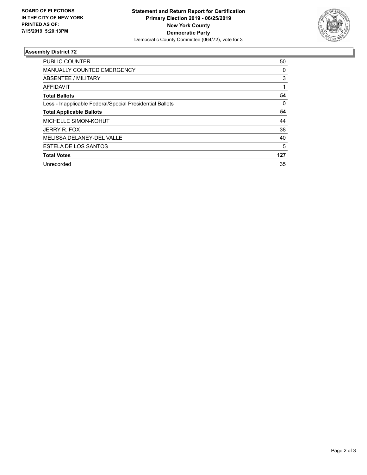

## **Assembly District 72**

| <b>PUBLIC COUNTER</b>                                    | 50       |
|----------------------------------------------------------|----------|
| <b>MANUALLY COUNTED EMERGENCY</b>                        | 0        |
| ABSENTEE / MILITARY                                      | 3        |
| AFFIDAVIT                                                |          |
| <b>Total Ballots</b>                                     | 54       |
| Less - Inapplicable Federal/Special Presidential Ballots | $\Omega$ |
| <b>Total Applicable Ballots</b>                          | 54       |
| MICHELLE SIMON-KOHUT                                     | 44       |
| JERRY R. FOX                                             | 38       |
| MELISSA DELANEY-DEL VALLE                                | 40       |
| ESTELA DE LOS SANTOS                                     | 5        |
| <b>Total Votes</b>                                       | 127      |
| Unrecorded                                               | 35       |